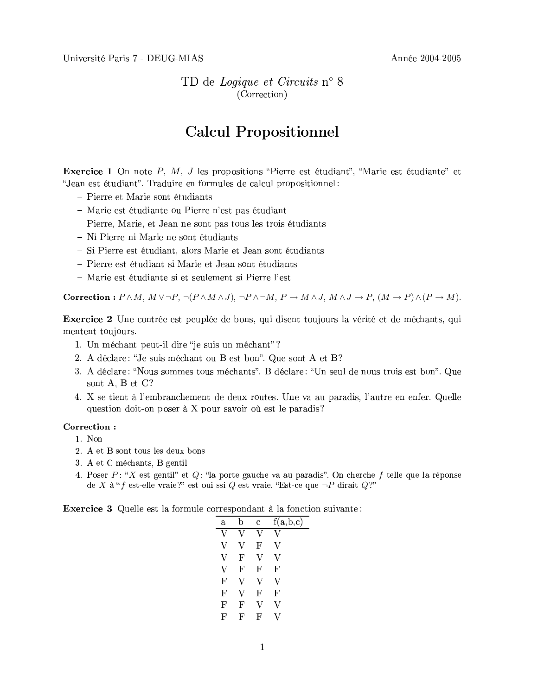Université Paris 7 - DEUG-MIAS

Année 2004-2005

TD de Logique et Circuits n° 8 (Correction)

## **Calcul Propositionnel**

**Exercice 1** On note  $P$ ,  $M$ ,  $J$  les propositions "Pierre est étudiant", "Marie est étudiante" et "Jean est étudiant". Traduire en formules de calcul propositionnel:

- Pierre et Marie sont étudiants
- Marie est étudiante ou Pierre n'est pas étudiant
- Pierre, Marie, et Jean ne sont pas tous les trois étudiants
- Ni Pierre ni Marie ne sont étudiants
- Si Pierre est étudiant, alors Marie et Jean sont étudiants
- Pierre est étudiant si Marie et Jean sont étudiants
- Marie est étudiante si et seulement si Pierre l'est

**Correction**:  $P \wedge M$ ,  $M \vee \neg P$ ,  $\neg (P \wedge M \wedge J)$ ,  $\neg P \wedge \neg M$ ,  $P \rightarrow M \wedge J$ ,  $M \wedge J \rightarrow P$ ,  $(M \rightarrow P) \wedge (P \rightarrow M)$ .

**Exercice 2** Une contrée est peuplée de bons, qui disent toujours la vérité et de méchants, qui mentent toujours.

- 1. Un méchant peut-il dire "je suis un méchant"?
- 2. A déclare: "Je suis méchant ou B est bon". Que sont A et B?
- 3. A déclare: "Nous sommes tous méchants". B déclare: "Un seul de nous trois est bon". Que sont A, B et C?
- 4. X se tient à l'embranchement de deux routes. Une va au paradis, l'autre en enfer. Quelle question doit-on poser à X pour savoir où est le paradis?

## Correction:

- 1. Non
- 2. A et B sont tous les deux bons
- 3. A et C méchants, B gentil
- 4. Poser  $P: "X$  est gentil" et  $Q: "a$  porte gauche va au paradis". On cherche f telle que la réponse de X à "f est-elle vraie?" est oui ssi Q est vraie. "Est-ce que  $\neg P$  dirait Q?"

**Exercice 3** Quelle est la formule correspondant à la fonction suivante:

| a            | h | C | f(a,b,c) |
|--------------|---|---|----------|
| V            | V | V | V        |
| V            | V | F | V        |
| V            | F | V | V        |
| V            | F | F | F        |
| $\mathbf{F}$ | V | V | V        |
| F            | v | F | F        |
| F            | F | V | V        |
| F            | F | F | V        |
|              |   |   |          |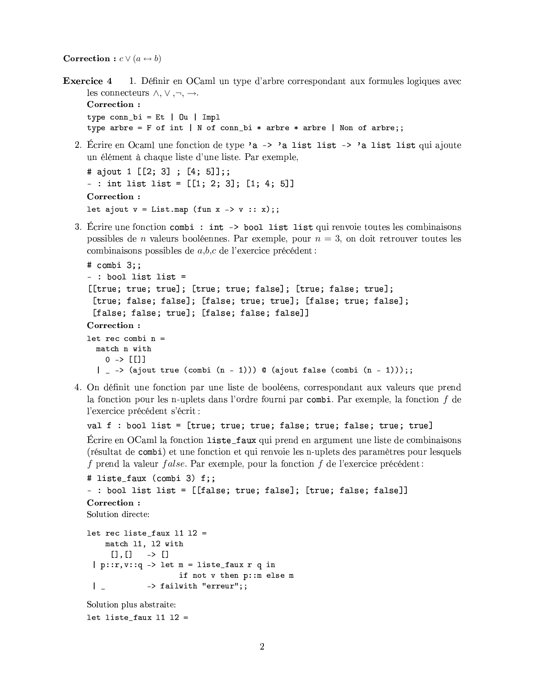**Correction**:  $c \vee (a \leftrightarrow b)$ 

**Exercice 4** 1. Définir en OCaml un type d'arbre correspondant aux formules logiques avec les connecteurs  $\wedge, \vee, \neg, \rightarrow$ .

Correction: type  $conn_bi = Et | 0u | Imp1$ type arbre = F of int | N of conn\_bi \* arbre \* arbre | Non of arbre;;

2. Écrire en Ocaml une fonction de type 'a -> 'a list list -> 'a list list qui ajoute un élément à chaque liste d'une liste. Par exemple,

```
# ajout 1 [[2; 3] ; [4; 5]];;
- : int list list = [[1; 2; 3]; [1; 4; 5]]Correction:
let ajout v = Listmap (fun x \rightarrow v :: x);
```
3. Écrire une fonction combi : int -> bool list list qui renvoie toutes les combinaisons possibles de *n* valeurs booléennes. Par exemple, pour  $n = 3$ , on doit retrouver toutes les combinaisons possibles de  $a,b,c$  de l'exercice précédent :

```
# combi 3;;
-: bool list list =
[[true; true; true]; [true; true; false]; [true; false; true];
 [true; false; false]; [false; true; true]; [false; true; false];
 [false; false; true]; [false; false; false]]
Correction:
let rec combi n =match n with
   0 \rightarrow [[]]
  | - -> (ajout true (combi (n - 1))) @ (ajout false (combi (n - 1)));
```
4. On définit une fonction par une liste de booléens, correspondant aux valeurs que prend la fonction pour les n-uplets dans l'ordre fourni par combi. Par exemple, la fonction  $f$  de l'exercice précédent s'écrit :

```
val f : bool list = [true; true; true; false; true; false; true; true]
```
Écrire en OCaml la fonction liste\_faux qui prend en argument une liste de combinaisons (résultat de combi) et une fonction et qui renvoie les n-uplets des paramètres pour lesquels f prend la valeur *false*. Par exemple, pour la fonction  $f$  de l'exercice précédent:

```
# liste_faux (combi 3) f;;
- : bool list list = [[false; true; false]; [true; false; false]]
Correction:
Solution directe:
let rec liste_faux 11 12 =
    match 11, 12 with
             \rightarrow []
      \Box, \Box| p : :r, v : q \rightarrow let m = liste_faux r q inif not v then p:: m else m
              -> failwith "erreur";;
 \perpSolution plus abstraite:
```
let liste\_faux  $11$  12 =